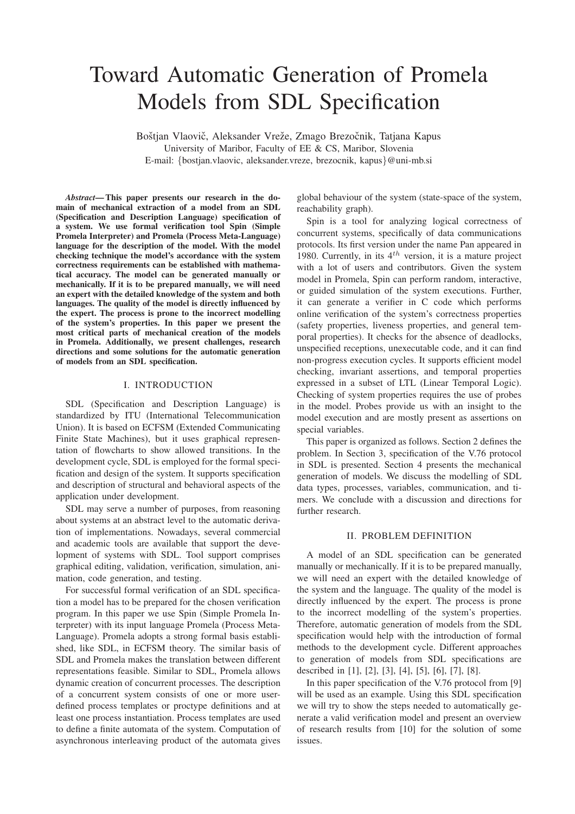# Toward Automatic Generation of Promela Models from SDL Specification

Boštjan Vlaovič, Aleksander Vreže, Zmago Brezočnik, Tatjana Kapus University of Maribor, Faculty of EE & CS, Maribor, Slovenia E-mail: *{*bostjan.vlaovic, aleksander.vreze, brezocnik, kapus*}*@uni-mb.si

*Abstract***— This paper presents our research in the domain of mechanical extraction of a model from an SDL (Specification and Description Language) specification of a system. We use formal verification tool Spin (Simple Promela Interpreter) and Promela (Process Meta-Language) language for the description of the model. With the model checking technique the model's accordance with the system correctness requirements can be established with mathematical accuracy. The model can be generated manually or mechanically. If it is to be prepared manually, we will need an expert with the detailed knowledge of the system and both languages. The quality of the model is directly influenced by the expert. The process is prone to the incorrect modelling of the system's properties. In this paper we present the most critical parts of mechanical creation of the models in Promela. Additionally, we present challenges, research directions and some solutions for the automatic generation of models from an SDL specification.**

## I. INTRODUCTION

SDL (Specification and Description Language) is standardized by ITU (International Telecommunication Union). It is based on ECFSM (Extended Communicating Finite State Machines), but it uses graphical representation of flowcharts to show allowed transitions. In the development cycle, SDL is employed for the formal specification and design of the system. It supports specification and description of structural and behavioral aspects of the application under development.

SDL may serve a number of purposes, from reasoning about systems at an abstract level to the automatic derivation of implementations. Nowadays, several commercial and academic tools are available that support the development of systems with SDL. Tool support comprises graphical editing, validation, verification, simulation, animation, code generation, and testing.

For successful formal verification of an SDL specification a model has to be prepared for the chosen verification program. In this paper we use Spin (Simple Promela Interpreter) with its input language Promela (Process Meta-Language). Promela adopts a strong formal basis established, like SDL, in ECFSM theory. The similar basis of SDL and Promela makes the translation between different representations feasible. Similar to SDL, Promela allows dynamic creation of concurrent processes. The description of a concurrent system consists of one or more userdefined process templates or proctype definitions and at least one process instantiation. Process templates are used to define a finite automata of the system. Computation of asynchronous interleaving product of the automata gives

global behaviour of the system (state-space of the system, reachability graph).

Spin is a tool for analyzing logical correctness of concurrent systems, specifically of data communications protocols. Its first version under the name Pan appeared in 1980. Currently, in its 4*th* version, it is a mature project with a lot of users and contributors. Given the system model in Promela, Spin can perform random, interactive, or guided simulation of the system executions. Further, it can generate a verifier in C code which performs online verification of the system's correctness properties (safety properties, liveness properties, and general temporal properties). It checks for the absence of deadlocks, unspecified receptions, unexecutable code, and it can find non-progress execution cycles. It supports efficient model checking, invariant assertions, and temporal properties expressed in a subset of LTL (Linear Temporal Logic). Checking of system properties requires the use of probes in the model. Probes provide us with an insight to the model execution and are mostly present as assertions on special variables.

This paper is organized as follows. Section 2 defines the problem. In Section 3, specification of the V.76 protocol in SDL is presented. Section 4 presents the mechanical generation of models. We discuss the modelling of SDL data types, processes, variables, communication, and timers. We conclude with a discussion and directions for further research.

## II. PROBLEM DEFINITION

A model of an SDL specification can be generated manually or mechanically. If it is to be prepared manually, we will need an expert with the detailed knowledge of the system and the language. The quality of the model is directly influenced by the expert. The process is prone to the incorrect modelling of the system's properties. Therefore, automatic generation of models from the SDL specification would help with the introduction of formal methods to the development cycle. Different approaches to generation of models from SDL specifications are described in [1], [2], [3], [4], [5], [6], [7], [8].

In this paper specification of the V.76 protocol from [9] will be used as an example. Using this SDL specification we will try to show the steps needed to automatically generate a valid verification model and present an overview of research results from [10] for the solution of some issues.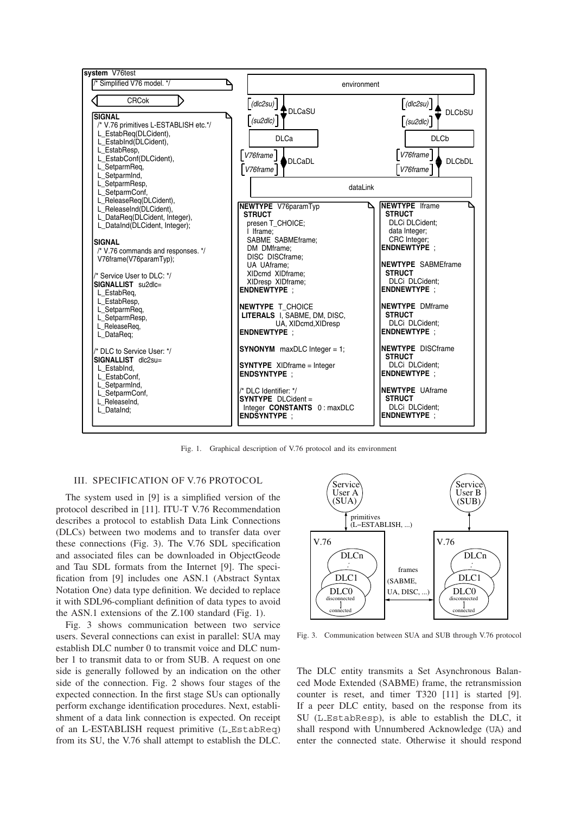

Fig. 1. Graphical description of V.76 protocol and its environment

## III. SPECIFICATION OF V.76 PROTOCOL

The system used in [9] is a simplified version of the protocol described in [11]. ITU-T V.76 Recommendation describes a protocol to establish Data Link Connections (DLCs) between two modems and to transfer data over these connections (Fig. 3). The V.76 SDL specification and associated files can be downloaded in ObjectGeode and Tau SDL formats from the Internet [9]. The specification from [9] includes one ASN.1 (Abstract Syntax Notation One) data type definition. We decided to replace it with SDL96-compliant definition of data types to avoid the ASN.1 extensions of the Z.100 standard (Fig. 1).

Fig. 3 shows communication between two service users. Several connections can exist in parallel: SUA may establish DLC number 0 to transmit voice and DLC number 1 to transmit data to or from SUB. A request on one side is generally followed by an indication on the other side of the connection. Fig. 2 shows four stages of the expected connection. In the first stage SUs can optionally perform exchange identification procedures. Next, establishment of a data link connection is expected. On receipt of an L-ESTABLISH request primitive (L EstabReq) from its SU, the V.76 shall attempt to establish the DLC.



Fig. 3. Communication between SUA and SUB through V.76 protocol

The DLC entity transmits a Set Asynchronous Balanced Mode Extended (SABME) frame, the retransmission counter is reset, and timer T320 [11] is started [9]. If a peer DLC entity, based on the response from its SU (L EstabResp), is able to establish the DLC, it shall respond with Unnumbered Acknowledge (UA) and enter the connected state. Otherwise it should respond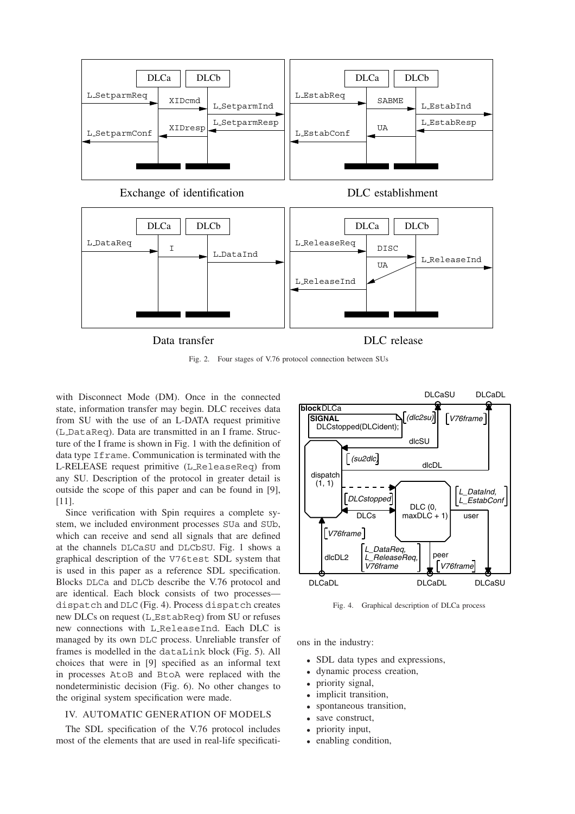

Fig. 2. Four stages of V.76 protocol connection between SUs

with Disconnect Mode (DM). Once in the connected state, information transfer may begin. DLC receives data from SU with the use of an L-DATA request primitive (L DataReq). Data are transmitted in an I frame. Structure of the I frame is shown in Fig. 1 with the definition of data type Iframe. Communication is terminated with the L-RELEASE request primitive (L ReleaseReq) from any SU. Description of the protocol in greater detail is outside the scope of this paper and can be found in [9], [11].

Since verification with Spin requires a complete system, we included environment processes SUa and SUb, which can receive and send all signals that are defined at the channels DLCaSU and DLCbSU. Fig. 1 shows a graphical description of the V76test SDL system that is used in this paper as a reference SDL specification. Blocks DLCa and DLCb describe the V.76 protocol and are identical. Each block consists of two processes dispatch and DLC (Fig. 4). Process dispatch creates new DLCs on request (L EstabReq) from SU or refuses new connections with L ReleaseInd. Each DLC is managed by its own DLC process. Unreliable transfer of frames is modelled in the dataLink block (Fig. 5). All choices that were in [9] specified as an informal text in processes AtoB and BtoA were replaced with the nondeterministic decision (Fig. 6). No other changes to the original system specification were made.

## IV. AUTOMATIC GENERATION OF MODELS

The SDL specification of the V.76 protocol includes most of the elements that are used in real-life specificati-



Fig. 4. Graphical description of DLCa process

ons in the industry:

- *•* SDL data types and expressions,
- *•* dynamic process creation,
- *•* priority signal,
- *•* implicit transition,
- *•* spontaneous transition,
- *•* save construct,
- *•* priority input,
- enabling condition,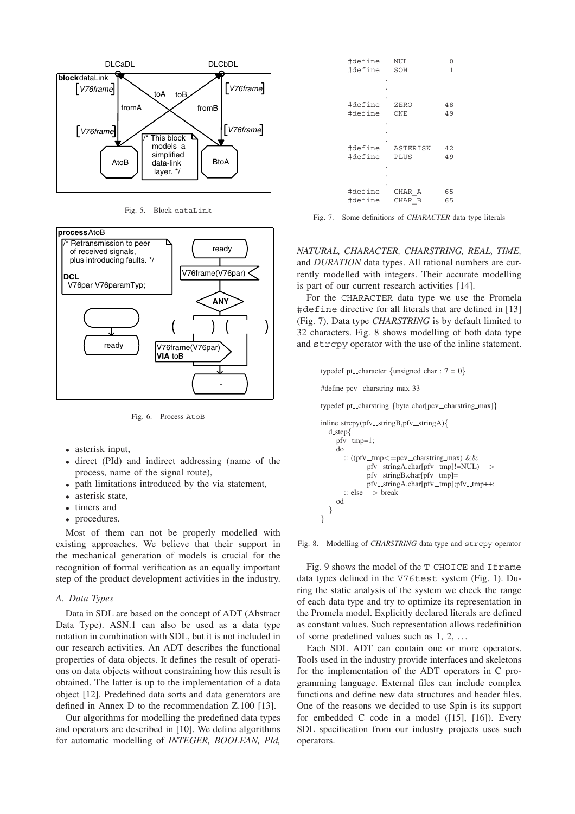





Fig. 6. Process AtoB

- *•* asterisk input,
- direct (PId) and indirect addressing (name of the process, name of the signal route),
- *•* path limitations introduced by the via statement,
- *•* asterisk state,
- *•* timers and
- *•* procedures.

Most of them can not be properly modelled with existing approaches. We believe that their support in the mechanical generation of models is crucial for the recognition of formal verification as an equally important step of the product development activities in the industry.

## *A. Data Types*

Data in SDL are based on the concept of ADT (Abstract Data Type). ASN.1 can also be used as a data type notation in combination with SDL, but it is not included in our research activities. An ADT describes the functional properties of data objects. It defines the result of operations on data objects without constraining how this result is obtained. The latter is up to the implementation of a data object [12]. Predefined data sorts and data generators are defined in Annex D to the recommendation Z.100 [13].

Our algorithms for modelling the predefined data types and operators are described in [10]. We define algorithms for automatic modelling of *INTEGER, BOOLEAN, PId,*

| #define<br>NUL      |    |
|---------------------|----|
| #define<br>SOH      | 1  |
|                     |    |
|                     |    |
|                     |    |
| #define<br>ZERO     | 48 |
| #define<br>ONE      | 49 |
|                     |    |
|                     |    |
|                     |    |
| #define<br>ASTERISK | 42 |
| #define<br>PLUS     | 49 |
|                     |    |
|                     |    |
|                     |    |
| #define<br>CHAR A   | 65 |
| #define<br>CHAR B   | 65 |

Fig. 7. Some definitions of *CHARACTER* data type literals

*NATURAL, CHARACTER, CHARSTRING, REAL, TIME,* and *DURATION* data types. All rational numbers are currently modelled with integers. Their accurate modelling is part of our current research activities [14].

For the CHARACTER data type we use the Promela #define directive for all literals that are defined in [13] (Fig. 7). Data type *CHARSTRING* is by default limited to 32 characters. Fig. 8 shows modelling of both data type and strcpy operator with the use of the inline statement.

```
typedef pt_character {unsigned char : 7 = 0}#define pcv_charstring_max 33
typedef pt_charstring {byte char[pcv_charstring_max]}
inline strcpy(pfv<sub>-stringB,pfv<sub>-stringA)</sub>{</sub>
  d step{
     pfv_{-}tmp=1;do
       :: ((pfv_tmp<=pcv_charstring_max) &&
               pfv_stringA.char[pfv_tmp]!=NUL) ->
               pfv_{\text{-}}stringB_{\text{-}}char[pfv_{\text{-}}tmp]=
               pfv_stringA.char[pfv_tmp];pfv_tmp++;
       :: else −> break
    od
  }
}
```
Fig. 8. Modelling of *CHARSTRING* data type and strcpy operator

Fig. 9 shows the model of the T CHOICE and Iframe data types defined in the V76test system (Fig. 1). During the static analysis of the system we check the range of each data type and try to optimize its representation in the Promela model. Explicitly declared literals are defined as constant values. Such representation allows redefinition of some predefined values such as  $1, 2, \ldots$ 

Each SDL ADT can contain one or more operators. Tools used in the industry provide interfaces and skeletons for the implementation of the ADT operators in C programming language. External files can include complex functions and define new data structures and header files. One of the reasons we decided to use Spin is its support for embedded C code in a model ([15], [16]). Every SDL specification from our industry projects uses such operators.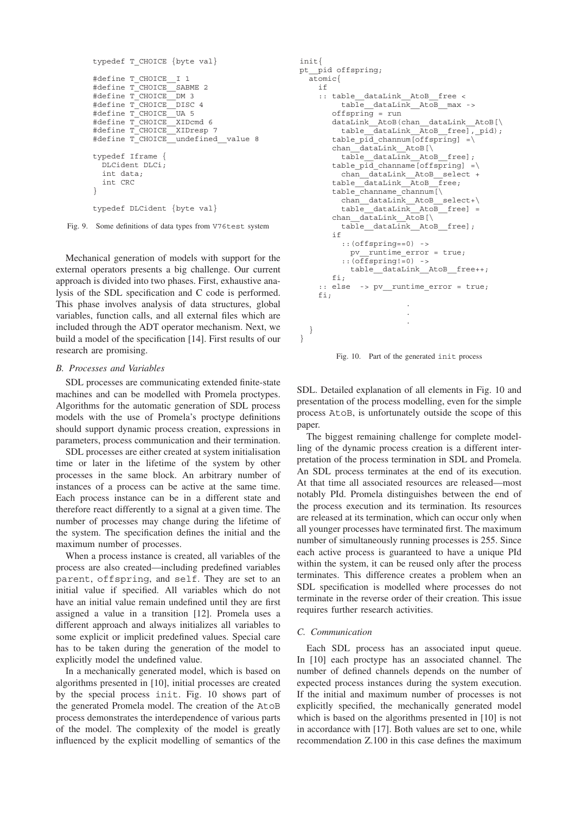```
typedef T CHOICE {byte val}
#define T_CHOICE__I 1
#define T_CHOICE__SABME 2
#define T_CHOICE__DM 3
#define T_CHOICE__DISC 4
#define T_CHOICE__UA 5
#define T_CHOICE__XIDcmd 6
#define T_CHOICE__XIDresp 7
#define T_CHOICE_undefined_value 8
typedef Iframe {
  DLCident DLCi;
  int data;
  int CRC
}
typedef DLCident {byte val}
```
Fig. 9. Some definitions of data types from V76test system

Mechanical generation of models with support for the external operators presents a big challenge. Our current approach is divided into two phases. First, exhaustive analysis of the SDL specification and C code is performed. This phase involves analysis of data structures, global variables, function calls, and all external files which are included through the ADT operator mechanism. Next, we build a model of the specification [14]. First results of our research are promising.

#### *B. Processes and Variables*

SDL processes are communicating extended finite-state machines and can be modelled with Promela proctypes. Algorithms for the automatic generation of SDL process models with the use of Promela's proctype definitions should support dynamic process creation, expressions in parameters, process communication and their termination.

SDL processes are either created at system initialisation time or later in the lifetime of the system by other processes in the same block. An arbitrary number of instances of a process can be active at the same time. Each process instance can be in a different state and therefore react differently to a signal at a given time. The number of processes may change during the lifetime of the system. The specification defines the initial and the maximum number of processes.

When a process instance is created, all variables of the process are also created—including predefined variables parent, offspring, and self. They are set to an initial value if specified. All variables which do not have an initial value remain undefined until they are first assigned a value in a transition [12]. Promela uses a different approach and always initializes all variables to some explicit or implicit predefined values. Special care has to be taken during the generation of the model to explicitly model the undefined value.

In a mechanically generated model, which is based on algorithms presented in [10], initial processes are created by the special process init. Fig. 10 shows part of the generated Promela model. The creation of the AtoB process demonstrates the interdependence of various parts of the model. The complexity of the model is greatly influenced by the explicit modelling of semantics of the

```
init{
pt pid offspring;
  atomic{
    if
    :: table dataLink AtoB free <
         table_dataLink_AtoB_max ->
       offspring = rundataLink__AtoB(chan__dataLink__AtoB[\
         table__dataLink__AtoB__free],_pid);
       table_pid_channum[offspring] =\
       chan__dataLink__AtoB[\
         table dataLink AtoB free];
       table pid channame[offspring] =\
         chan dataLink AtoB select +
       table dataLink AtoB free;
       table channame channum [\
         \overline{\text{chain}} dataLink AtoB select+\
         table dataLink AtoB freel =
       chan dataLink AtoB[\
         table dataLink AtoB free];
       if
         ::(offspring==0) ->
           pv runtime error = true;
         ::(offspring!=0) ->
           table__dataLink__AtoB__free++;
       fi;
    :: else -> pv__runtime_error = true;
    fi;
                        .
                       .
                        .
  }
}
```
Fig. 10. Part of the generated init process

SDL. Detailed explanation of all elements in Fig. 10 and presentation of the process modelling, even for the simple process AtoB, is unfortunately outside the scope of this paper.

The biggest remaining challenge for complete modelling of the dynamic process creation is a different interpretation of the process termination in SDL and Promela. An SDL process terminates at the end of its execution. At that time all associated resources are released—most notably PId. Promela distinguishes between the end of the process execution and its termination. Its resources are released at its termination, which can occur only when all younger processes have terminated first. The maximum number of simultaneously running processes is 255. Since each active process is guaranteed to have a unique PId within the system, it can be reused only after the process terminates. This difference creates a problem when an SDL specification is modelled where processes do not terminate in the reverse order of their creation. This issue requires further research activities.

## *C. Communication*

Each SDL process has an associated input queue. In [10] each proctype has an associated channel. The number of defined channels depends on the number of expected process instances during the system execution. If the initial and maximum number of processes is not explicitly specified, the mechanically generated model which is based on the algorithms presented in [10] is not in accordance with [17]. Both values are set to one, while recommendation Z.100 in this case defines the maximum